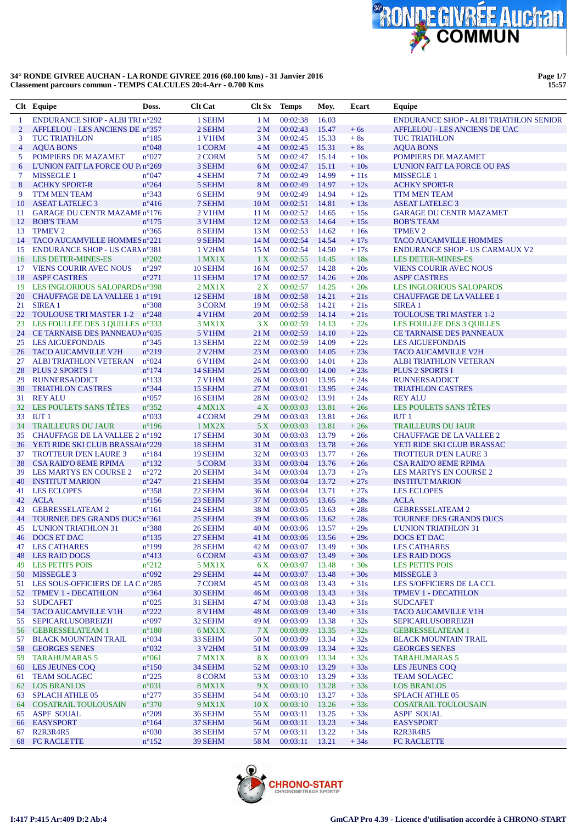

**Page 1/7 15:57**

|                | Clt Equipe                                                  | Doss.                            | <b>Clt Cat</b>           | Clt Sx          | <b>Temps</b>         | Moy.           | Ecart            | Equipe                                                      |
|----------------|-------------------------------------------------------------|----------------------------------|--------------------------|-----------------|----------------------|----------------|------------------|-------------------------------------------------------------|
| 1              | <b>ENDURANCE SHOP - ALBI TRI n°292</b>                      |                                  | 1 SEHM                   | 1 <sub>M</sub>  | 00:02:38             | 16.03          |                  | <b>ENDURANCE SHOP - ALBI TRIATHLON SENIOR</b>               |
| $\overline{2}$ | AFFLELOU - LES ANCIENS DE n°357                             |                                  | 2 SEHM                   | 2 <sub>M</sub>  | 00:02:43             | 15.47          | $+6s$            | AFFLELOU - LES ANCIENS DE UAC                               |
| 3              | <b>TUC TRIATHLON</b>                                        | $n^{\circ}185$                   | <b>1 V1HM</b>            | 3 M             | 00:02:45             | 15.33          | $+8s$            | <b>TUC TRIATHLON</b>                                        |
| 4              | <b>AQUA BONS</b>                                            | $n^{\circ}048$                   | 1 CORM                   | 4 M             | 00:02:45             | 15.31          | $+8s$            | <b>AQUA BONS</b>                                            |
| 5              | POMPIERS DE MAZAMET                                         | $n^{\circ}027$                   | 2 CORM                   | 5 M             | 00:02:47             | 15.14          | $+10s$           | POMPIERS DE MAZAMET                                         |
| 6              | L'UNION FAIT LA FORCE OU P/n°269                            |                                  | 3 SEHM                   | 6 M             | 00:02:47             | 15.11          | $+10s$           | <b>L'UNION FAIT LA FORCE OU PAS</b>                         |
| 7              | <b>MISSEGLE 1</b>                                           | $n^{\circ}047$                   | 4 SEHM                   | 7 M             | 00:02:49             | 14.99          | $+11s$           | <b>MISSEGLE 1</b>                                           |
| 8              | <b>ACHKY SPORT-R</b>                                        | $n^{\circ}264$                   | 5 SEHM                   | 8 M             | 00:02:49             | 14.97          | $+12s$           | <b>ACHKY SPORT-R</b>                                        |
| 9              | TTM MEN TEAM                                                | $n^{\circ}343$                   | 6 SEHM                   | 9 M             | 00:02:49             | 14.94          | $+12s$           | TTM MEN TEAM                                                |
| 10             | <b>ASEAT LATELEC 3</b>                                      | $n^{\circ}416$                   | 7 SEHM                   | 10 <sub>M</sub> | 00:02:51             | 14.81          | $+13s$           | <b>ASEAT LATELEC 3</b>                                      |
| 11             | <b>GARAGE DU CENTR MAZAMEn°176</b>                          |                                  | 2 V1HM                   | 11 M            | 00:02:52             | 14.65          | $+15s$           | <b>GARAGE DU CENTR MAZAMET</b>                              |
| 12             | <b>BOB'S TEAM</b>                                           | $n^{\circ}175$                   | <b>3 V1HM</b>            | 12 <sub>M</sub> | 00:02:53             | 14.64          | $+15s$           | <b>BOB'S TEAM</b>                                           |
| 13             | <b>TPMEV 2</b>                                              | $n^{\circ}365$                   | 8 SEHM                   | 13 M            | 00:02:53             | 14.62          | $+16s$           | <b>TPMEV2</b>                                               |
| 14             | TACO AUCAMVILLE HOMMES n°221                                |                                  | 9 SEHM                   | 14 M            | 00:02:54             | 14.54          | $+17s$           | <b>TACO AUCAMVILLE HOMMES</b>                               |
| 15             | ENDURANCE SHOP - US CARM n°381                              |                                  | 1 V <sub>2</sub> HM      | 15 M            | 00:02:54             | 14.50          | $+17s$           | <b>ENDURANCE SHOP - US CARMAUX V2</b>                       |
| 16             | <b>LES DETER-MINES-ES</b>                                   | $n^{\circ}202$                   | $1$ MX $1X$              | 1 X             | 00:02:55             | 14.45          | $+18s$           | <b>LES DETER-MINES-ES</b>                                   |
| 17             | <b>VIENS COURIR AVEC NOUS</b>                               | $n^{\circ}297$                   | 10 SEHM                  | 16 <sub>M</sub> | 00:02:57             | 14.28          | $+20s$           | <b>VIENS COURIR AVEC NOUS</b>                               |
| 18             | <b>ASPF CASTRES</b>                                         | $n^{\circ}271$                   | 11 SEHM                  | 17 <sub>M</sub> | 00:02:57             | 14.26          | $+20s$           | <b>ASPF CASTRES</b>                                         |
| 19             | LES INGLORIOUS SALOPARDS n°398                              |                                  | $2$ MX1X                 | 2X              | 00:02:57             | 14.25          | $+20s$           | <b>LES INGLORIOUS SALOPARDS</b>                             |
| 20             | CHAUFFAGE DE LA VALLEE 1 n°191                              |                                  | 12 SEHM                  | 18 M            | 00:02:58             | 14.21          | $+21s$           | <b>CHAUFFAGE DE LA VALLEE 1</b>                             |
| 21             | SIREA <sub>1</sub>                                          | $n^{\circ}308$                   | 3 CORM                   | 19 <sub>M</sub> | 00:02:58             | 14.21          | $+21s$           | <b>SIREA1</b>                                               |
| 22             | TOULOUSE TRI MASTER 1-2 n°248                               |                                  | 4 V1HM                   | 20 M            | 00:02:59             | 14.14          | $+21s$           | <b>TOULOUSE TRI MASTER 1-2</b>                              |
| 23             | LES FOULLEE DES 3 QUILLES n°333                             |                                  | 3 MX1X                   | 3X              | 00:02:59             | 14.13          | $+22s$           | <b>LES FOULLEE DES 3 QUILLES</b>                            |
| 24             | CE TARNAISE DES PANNEAUX n°035                              |                                  | <b>5 V1HM</b>            | 21 M            | 00:02:59             | 14.10          | $+22s$           | <b>CE TARNAISE DES PANNEAUX</b>                             |
| 25             | <b>LES AIGUEFONDAIS</b>                                     | $n^{\circ}345$                   | 13 SEHM                  | 22 M            | 00:02:59             | 14.09          | $+22s$           | <b>LES AIGUEFONDAIS</b>                                     |
| 26             | <b>TACO AUCAMVILLE V2H</b>                                  | $n^{\circ}219$                   | 2 V <sub>2</sub> HM      | 23 M            | 00:03:00             | 14.05          | $+23s$           | <b>TACO AUCAMVILLE V2H</b>                                  |
| 27             | <b>ALBI TRIATHLON VETERAN</b>                               | $n^{\circ}024$                   | <b>6 V1HM</b>            | 24 M            | 00:03:00             | 14.01          | $+23s$           | <b>ALBI TRIATHLON VETERAN</b>                               |
| 28             | <b>PLUS 2 SPORTS I</b>                                      | $n^{\circ}174$                   | 14 SEHM                  | 25 M            | 00:03:00             | 14.00          | $+23s$           | <b>PLUS 2 SPORTS I</b>                                      |
| 29             | <b>RUNNERSADDICT</b>                                        | $n^{\circ}133$                   | <b>7 V1HM</b>            | 26 M            | 00:03:01             | 13.95          | $+24s$           | <b>RUNNERSADDICT</b>                                        |
| 30             | <b>TRIATHLON CASTRES</b>                                    | $n^{\circ}344$                   | 15 SEHM                  | 27 M            | 00:03:01             | 13.95          | $+24s$           | <b>TRIATHLON CASTRES</b>                                    |
| 31             | <b>REY ALU</b>                                              | $n^{\circ}057$                   | 16 SEHM                  | 28 M            | 00:03:02             | 13.91          | $+24s$           | <b>REY ALU</b>                                              |
| 32             | LES POULETS SANS TÊTES                                      | $n^{\circ}352$                   | $4$ MX1X                 | 4X              | 00:03:03             | 13.81          | $+26s$           | LES POULETS SANS TÊTES                                      |
| 33             | IUT <sub>1</sub>                                            | $n^{\circ}033$                   | 4 CORM                   | 29 M            | 00:03:03             | 13.81          | $+26s$           | IUT1                                                        |
| 34             | <b>TRAILLEURS DU JAUR</b>                                   | $n^{\circ}$ 196                  | 1 MX2X                   | 5X              | 00:03:03             | 13.81          | $+26s$           | <b>TRAILLEURS DU JAUR</b>                                   |
| 35             | CHAUFFAGE DE LA VALLEE 2 n°192                              |                                  | 17 SEHM                  | 30 M            | 00:03:03             | 13.79          | $+26s$           | <b>CHAUFFAGE DE LA VALLEE 2</b>                             |
| 36             | YETI RIDE SKI CLUB BRASSA(n°229                             |                                  | 18 SEHM                  | 31 M            | 00:03:03             | 13.78          | $+26s$           | YETI RIDE SKI CLUB BRASSAC                                  |
| 37             | <b>TROTTEUR D'EN LAURE 3</b>                                | $n^{\circ}184$                   | 19 SEHM                  | 32 M            | 00:03:03             | 13.77          | $+26s$           | <b>TROTTEUR D'EN LAURE 3</b>                                |
| 38             | <b>CSA RAID'O 8EME RPIMA</b>                                | $n^{\circ}132$                   | 5 CORM                   | 33 M            | 00:03:04             | 13.76          | $+26s$           | <b>CSA RAID'O 8EME RPIMA</b>                                |
| 39             | LES MARTYS EN COURSE 2                                      | $n^{\circ}272$                   | 20 SEHM                  | 34 M            | 00:03:04             | 13.73          | $+27s$           | <b>LES MARTYS EN COURSE 2</b>                               |
| 40             | <b>INSTITUT MARION</b>                                      | $n^{\circ}247$                   | 21 SEHM                  | 35 M            | 00:03:04             | 13.72          | $+27s$           | <b>INSTITUT MARION</b>                                      |
| 41             | <b>LES ECLOPES</b>                                          | $n^{\circ}358$                   | 22 SEHM                  | 36 M            | 00:03:04             | 13.71          | $+27s$           | <b>LES ECLOPES</b>                                          |
| 42             | ACLA                                                        | $n^{\circ}156$                   | 23 SEHM                  | 37 M            | 00:03:05             | 13.65          | $+28s$           | <b>ACLA</b>                                                 |
| 43             | <b>GEBRESSELATEAM 2</b>                                     | $n^{\circ}161$                   | 24 SEHM                  | 38 M            | 00:03:05             | 13.63          | $+28s$           | <b>GEBRESSELATEAM 2</b>                                     |
| 44             | TOURNEE DES GRANDS DUCS n°361                               |                                  | 25 SEHM                  | 39 M            | 00:03:06             | 13.62          | $+28s$           | TOURNEE DES GRANDS DUCS                                     |
| 45             | <b>L'UNION TRIATHLON 31</b>                                 | $n^{\circ}388$                   | 26 SEHM                  | 40 M            | 00:03:06             | 13.57          | $+29s$           | <b>L'UNION TRIATHLON 31</b>                                 |
| 46             | <b>DOCS ET DAC</b>                                          | $n^{\circ}$ 135                  | 27 SEHM                  | 41 M            | 00:03:06             | 13.56          | $+29s$           | DOCS ET DAC                                                 |
| 47             | <b>LES CATHARES</b>                                         | $n^{\circ}199$                   | 28 SEHM                  | 42 M            | 00:03:07             | 13.49          | $+30s$           | <b>LES CATHARES</b>                                         |
| 48             | LES RAID DOGS                                               | $n^{\circ}413$                   | 6 CORM                   | 43 M            | 00:03:07             | 13.49          | $+30s$           | <b>LES RAID DOGS</b>                                        |
| 49             | <b>LES PETITS POIS</b>                                      | $n^{\circ}212$                   | 5 MX1X                   | 6 X             | 00:03:07             | 13.48          | $+30s$           | <b>LES PETITS POIS</b>                                      |
|                | 50 MISSEGLE 3                                               | n°092                            | 29 SEHM                  | 44 M            | 00:03:07             | 13.48          | $+30s$           | <b>MISSEGLE 3</b>                                           |
|                | 51 LES SOUS-OFFICIERS DE LA Cn°285                          |                                  | 7 CORM                   | 45 M            | 00:03:08             | 13.43          | $+31s$           | LES S/OFFICIERS DE LA CCL                                   |
|                | 52 TPMEV 1 - DECATHLON                                      | $n^{\circ}364$                   | 30 SEHM                  | 46 M            | 00:03:08             | 13.43          | $+31s$           | <b>TPMEV 1 - DECATHLON</b>                                  |
| 53             | <b>SUDCAFET</b>                                             | $n^{\circ}025$                   | 31 SEHM                  | 47 M            | 00:03:08             | 13.43          | $+31s$           | <b>SUDCAFET</b>                                             |
|                | 54 TACO AUCAMVILLE V1H                                      | $n^{\circ}222$                   | <b>8 V1HM</b>            | 48 M            | 00:03:09             | 13.40          | $+31s$           | <b>TACO AUCAMVILLE V1H</b>                                  |
| 55             | SEPICARLUSOBREIZH                                           | $n^{\circ}097$                   | 32 SEHM                  | 49 M            | 00:03:09             | 13.38          | $+32s$           | <b>SEPICARLUSOBREIZH</b>                                    |
|                | 56 GEBRESSELATEAM 1                                         | $n^{\circ}180$                   | 6 MX1X                   | 7 X             | 00:03:09             | 13.35          | $+32s$           | <b>GEBRESSELATEAM 1</b>                                     |
| 57             | <b>BLACK MOUNTAIN TRAIL</b>                                 | $n^{\circ}034$                   | 33 SEHM                  | 50 M            | 00:03:09             | 13.34          | $+32s$           | <b>BLACK MOUNTAIN TRAIL</b>                                 |
| 58             | <b>GEORGES SENES</b><br><b>TARAHUMARAS 5</b>                | $n^{\circ}032$                   | 3 V <sub>2</sub> HM      | 51 M            | 00:03:09             | 13.34<br>13.34 | $+32s$           | <b>GEORGES SENES</b>                                        |
| 59             | LES JEUNES COO                                              | $n^{\circ}061$                   | 7 MX1X                   | 8 X             | 00:03:09             |                | $+32s$           | <b>TARAHUMARAS 5</b><br><b>LES JEUNES COO</b>               |
| 60             | <b>TEAM SOLAGEC</b>                                         | $n^{\circ}150$<br>$n^{\circ}225$ | 34 SEHM<br>8 CORM        | 52 M            | 00:03:10<br>00:03:10 | 13.29<br>13.29 | $+33s$<br>$+33s$ | <b>TEAM SOLAGEC</b>                                         |
| 61             | 62 LOS BRANLOS                                              |                                  |                          | 53 M<br>9X      |                      | 13.28          |                  | <b>LOS BRANLOS</b>                                          |
| 63             | <b>SPLACH ATHLE 05</b>                                      | $n^{\circ}031$<br>$n^{\circ}277$ | <b>8 MX1X</b><br>35 SEHM | 54 M            | 00:03:10<br>00:03:10 | 13.27          | $+33s$<br>$+33s$ | <b>SPLACH ATHLE 05</b>                                      |
|                | <b>64 COSATRAIL TOULOUSAIN</b>                              | $n^{\circ}370$                   | 9 MX1X                   | 10X             | 00:03:10             | 13.26          | $+33s$           | <b>COSATRAIL TOULOUSAIN</b>                                 |
|                | <b>ASPF SOUAL</b>                                           | $n^{\circ}209$                   | 36 SEHM                  | 55 M            | 00:03:11             | 13.25          | $+33s$           | <b>ASPF SOUAL</b>                                           |
| 65             | 66 EASYSPORT                                                | $n^{\circ}164$                   | 37 SEHM                  | 56 M            | 00:03:11             | 13.23          | $+34s$           | <b>EASYSPORT</b>                                            |
| 67             | R <sub>2</sub> R <sub>3</sub> R <sub>4</sub> R <sub>5</sub> | $n^{\circ}030$                   | 38 SEHM                  | 57 M            | 00:03:11             | 13.22          | $+34s$           | R <sub>2</sub> R <sub>3</sub> R <sub>4</sub> R <sub>5</sub> |
| 68             | <b>FC RACLETTE</b>                                          | $n^{\circ}152$                   | 39 SEHM                  | 58 M            | 00:03:11             | 13.21          | $+34s$           | FC RACLETTE                                                 |
|                |                                                             |                                  |                          |                 |                      |                |                  |                                                             |

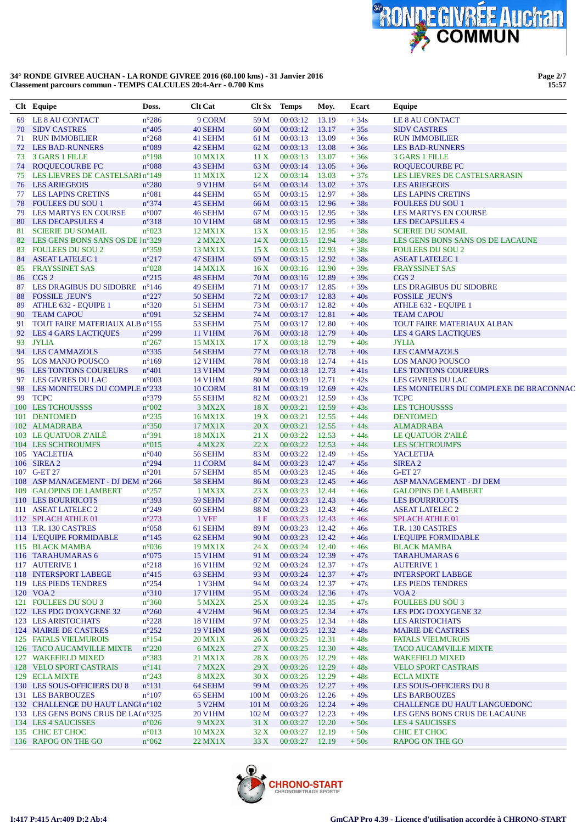

|          | Clt Equipe                                                  | Doss.                            | <b>Clt Cat</b>         | Clt Sx           | <b>Temps</b>         | Moy.           | Ecart            | Equipe                                                      |
|----------|-------------------------------------------------------------|----------------------------------|------------------------|------------------|----------------------|----------------|------------------|-------------------------------------------------------------|
| 69       | LE 8 AU CONTACT                                             | $n^{\circ}286$                   | 9 CORM                 | 59 M             | 00:03:12             | 13.19          | $+34s$           | LE 8 AU CONTACT                                             |
| 70       | <b>SIDV CASTRES</b>                                         | $n^{\circ}405$                   | 40 SEHM                | 60 M             | 00:03:12             | 13.17          | $+35s$           | <b>SIDV CASTRES</b>                                         |
| 71       | <b>RUN IMMOBILIER</b>                                       | $n^{\circ}268$                   | 41 SEHM                | 61 M             | 00:03:13             | 13.09          | $+36s$           | <b>RUN IMMOBILIER</b>                                       |
| 72       | <b>LES BAD-RUNNERS</b>                                      | n°089                            | 42 SEHM                | 62 M             | 00:03:13             | 13.08          | $+36s$           | <b>LES BAD-RUNNERS</b>                                      |
| 73       | <b>3 GARS 1 FILLE</b>                                       | $n^{\circ}198$                   | 10 MX1X                | 11 X             | 00:03:13             | 13.07          | $+36s$           | <b>3 GARS 1 FILLE</b>                                       |
| 74       | <b>ROQUECOURBE FC</b>                                       | $n^{\circ}088$                   | 43 SEHM                | 63 M             | 00:03:14             | 13.05          | $+36s$           | <b>ROQUECOURBE FC</b>                                       |
| 75       | LES LIEVRES DE CASTELSARI n°149                             |                                  | 11 MX1X                | 12 X             | 00:03:14             | 13.03          | $+37s$           | LES LIEVRES DE CASTELSARRASIN                               |
| 76       | <b>LES ARIEGEOIS</b>                                        | $n^{\circ}280$                   | 9 V1HM                 | 64 M             | 00:03:14             | 13.02          | $+37s$           | <b>LES ARIEGEOIS</b>                                        |
| 77       | <b>LES LAPINS CRETINS</b>                                   | $n^{\circ}081$                   | 44 SEHM                | 65 M             | 00:03:15             | 12.97          | $+38s$           | <b>LES LAPINS CRETINS</b>                                   |
| 78       | <b>FOULEES DU SOU 1</b>                                     | $n^{\circ}374$                   | 45 SEHM                | 66 M             | 00:03:15             | 12.96          | $+38s$           | <b>FOULEES DU SOU 1</b>                                     |
| 79       | LES MARTYS EN COURSE                                        | $n^{\circ}007$                   | 46 SEHM                | 67 M             | 00:03:15             | 12.95          | $+38s$           | <b>LES MARTYS EN COURSE</b>                                 |
| 80       | <b>LES DECAPSULES 4</b>                                     | $n^{\circ}318$                   | <b>10 V1HM</b>         | 68 M             | 00:03:15             | 12.95          | $+38s$           | <b>LES DECAPSULES 4</b>                                     |
| 81<br>82 | <b>SCIERIE DU SOMAIL</b><br>LES GENS BONS SANS OS DE In°329 | $n^{\circ}023$                   | 12 MX1X<br>$2$ MX $2X$ | 13X<br>14X       | 00:03:15<br>00:03:15 | 12.95<br>12.94 | $+38s$           | <b>SCIERIE DU SOMAIL</b>                                    |
| 83       | <b>FOULEES DU SOU 2</b>                                     | $n^{\circ}359$                   | 13 MX1X                | 15X              | 00:03:15             | 12.93          | $+38s$<br>$+38s$ | LES GENS BONS SANS OS DE LACAUNE<br><b>FOULEES DU SOU 2</b> |
| 84       | <b>ASEAT LATELEC 1</b>                                      | $n^{\circ}217$                   | 47 SEHM                | 69 M             | 00:03:15             | 12.92          | $+38s$           | <b>ASEAT LATELEC 1</b>                                      |
| 85       | <b>FRAYSSINET SAS</b>                                       | $n^{\circ}028$                   | 14 MX1X                | 16X              | 00:03:16             | 12.90          | $+39s$           | <b>FRAYSSINET SAS</b>                                       |
| 86       | CGS <sub>2</sub>                                            | $n^{\circ}215$                   | 48 SEHM                | 70 M             | 00:03:16             | 12.89          | $+39s$           | CGS <sub>2</sub>                                            |
| 87       | LES DRAGIBUS DU SIDOBRE n°146                               |                                  | 49 SEHM                | 71 M             | 00:03:17             | 12.85          | $+39s$           | LES DRAGIBUS DU SIDOBRE                                     |
| 88       | <b>FOSSILE JEUN'S</b>                                       | $n^{\circ}227$                   | 50 SEHM                | 72 M             | 00:03:17             | 12.83          | $+40s$           | <b>FOSSILE JEUN'S</b>                                       |
| 89       | ATHLE 632 - EQUIPE 1                                        | $n^{\circ}320$                   | 51 SEHM                | 73 M             | 00:03:17             | 12.82          | $+40s$           | ATHLE 632 - EQUIPE 1                                        |
| 90       | <b>TEAM CAPOU</b>                                           | n°091                            | 52 SEHM                | 74 M             | 00:03:17             | 12.81          | $+40s$           | <b>TEAM CAPOU</b>                                           |
| 91       | TOUT FAIRE MATERIAUX ALB n°155                              |                                  | 53 SEHM                | 75 M             | 00:03:17             | 12.80          | $+40s$           | <b>TOUT FAIRE MATERIAUX ALBAN</b>                           |
| 92       | <b>LES 4 GARS LACTIQUES</b>                                 | $n^{\circ}299$                   | <b>11 V1HM</b>         | 76 M             | 00:03:18             | 12.79          | $+40s$           | <b>LES 4 GARS LACTIQUES</b>                                 |
| 93       | <b>JYLIA</b>                                                | $n^{\circ}267$                   | 15 MX1X                | 17 <sub>X</sub>  | 00:03:18             | 12.79          | $+40s$           | <b>JYLIA</b>                                                |
| 94       | <b>LES CAMMAZOLS</b>                                        | $n^{\circ}335$                   | 54 SEHM                | 77 M             | 00:03:18             | 12.78          | $+40s$           | <b>LES CAMMAZOLS</b>                                        |
| 95       | <b>LOS MANJO POUSCO</b>                                     | $n^{\circ}169$                   | <b>12 V1HM</b>         | 78 M             | 00:03:18             | 12.74          | $+41s$           | <b>LOS MANJO POUSCO</b>                                     |
| 96       | <b>LES TONTONS COUREURS</b>                                 | $n^{\circ}401$                   | 13 V1HM                | 79 M             | 00:03:18             | 12.73          | $+41s$           | <b>LES TONTONS COUREURS</b>                                 |
| 97       | LES GIVRES DU LAC                                           | $n^{\circ}003$                   | 14 V1HM                | 80 M             | 00:03:19             | 12.71          | $+42s$           | LES GIVRES DU LAC                                           |
| 98       | LES MONITEURS DU COMPLE n°233                               |                                  | 10 CORM                | 81 M             | 00:03:19             | 12.69          | $+42s$           | LES MONITEURS DU COMPLEXE DE BRACONNAC                      |
| 99       | <b>TCPC</b>                                                 | $n^{\circ}379$                   | 55 SEHM                | 82 M             | 00:03:21             | 12.59          | $+43s$           | <b>TCPC</b>                                                 |
|          | 100 LES TCHOUSSSS                                           | $n^{\circ}002$                   | 3 MX2X                 | 18 X             | 00:03:21             | 12.59          | $+43s$           | <b>LES TCHOUSSSS</b>                                        |
| 101      | <b>DENTOMED</b>                                             | $n^{\circ}235$                   | 16 MX1X                | 19X              | 00:03:21             | 12.55          | $+44s$           | <b>DENTOMED</b>                                             |
|          | 102 ALMADRABA                                               | $n^{\circ}350$                   | 17 MX1X                | 20X              | 00:03:21             | 12.55          | $+44s$           | <b>ALMADRABA</b>                                            |
|          | 103 LE QUATUOR Z'AILE                                       | $n^{\circ}391$                   | 18 MX1X                | 21 X             | 00:03:22             | 12.53          | $+44s$           | LE QUATUOR Z'AILE                                           |
|          | 104 LES SCHTROUMFS                                          | $n^{\circ}015$                   | $4$ MX2X               | 22X              | 00:03:22             | 12.53          | $+44s$           | <b>LES SCHTROUMFS</b>                                       |
|          | 105 YACLETIJA                                               | n°040                            | 56 SEHM                | 83 M             | 00:03:22             | 12.49          | $+45s$           | <b>YACLETIJA</b>                                            |
|          | 106 SIREA 2                                                 | $n^{\circ}294$                   | 11 CORM                | 84 M             | 00:03:23             | 12.47          | $+45s$           | SIREA <sub>2</sub>                                          |
|          | 107 G-ET 27                                                 | $n^{\circ}201$                   | 57 SEHM                | 85 M             | 00:03:23             | 12.45          | $+46s$           | <b>G-ET 27</b>                                              |
| 108      | ASP MANAGEMENT - DJ DEM n°266                               |                                  | 58 SEHM                | 86 M             | 00:03:23             | 12.45          | $+46s$           | ASP MANAGEMENT - DJ DEM                                     |
| 109      | <b>GALOPINS DE LAMBERT</b>                                  | $n^{\circ}257$                   | 1 MX3X                 | 23X              | 00:03:23             | 12.44          | $+46s$           | <b>GALOPINS DE LAMBERT</b>                                  |
| 111      | 110 LES BOURRICOTS<br><b>ASEAT LATELEC 2</b>                | $n^{\circ}393$<br>$n^{\circ}249$ | 59 SEHM<br>60 SEHM     | 87 M<br>88 M     | 00:03:23<br>00:03:23 | 12.43<br>12.43 | $+46s$<br>$+46s$ | <b>LES BOURRICOTS</b><br><b>ASEAT LATELEC 2</b>             |
|          | 112 SPLACH ATHLE 01                                         | $n^{\circ}273$                   | 1 VFF                  | 1F               | 00:03:23             | 12.43          | $+46s$           | <b>SPLACH ATHLE 01</b>                                      |
|          | 113 T.R. 130 CASTRES                                        | $n^{\circ}058$                   | 61 SEHM                | 89 M             | 00:03:23             | 12.42          | $+46s$           | T.R. 130 CASTRES                                            |
|          | 114 L'EQUIPE FORMIDABLE                                     | $n^{\circ}145$                   | 62 SEHM                | 90 M             | 00:03:23             | 12.42          | $+46s$           | <b>L'EQUIPE FORMIDABLE</b>                                  |
|          | 115 BLACK MAMBA                                             | $n^{\circ}036$                   | 19 MX1X                | 24 X             | 00:03:24             | 12.40          | $+46s$           | <b>BLACK MAMBA</b>                                          |
|          | 116 TARAHUMARAS 6                                           | $n^{\circ}075$                   | <b>15 V1HM</b>         | 91 M             | 00:03:24             | 12.39          | $+47s$           | <b>TARAHUMARAS 6</b>                                        |
|          | 117 AUTERIVE 1                                              | $n^{\circ}218$                   | <b>16 V1HM</b>         | 92 M             | 00:03:24             | 12.37          | $+47s$           | <b>AUTERIVE 1</b>                                           |
|          | 118 INTERSPORT LABEGE                                       | $n^{\circ}415$                   | 63 SEHM                | 93 M             | 00:03:24             | 12.37          | $+47s$           | <b>INTERSPORT LABEGE</b>                                    |
|          | 119 LES PIEDS TENDRES                                       | $n^{\circ}254$                   | 1 V3HM                 | 94 M             | 00:03:24             | 12.37          | $+47s$           | <b>LES PIEDS TENDRES</b>                                    |
|          | 120 VOA2                                                    | $n^{\circ}310$                   | 17 V1HM                | 95 M             | 00:03:24             | 12.36          | $+47s$           | VOA <sub>2</sub>                                            |
|          | 121 FOULEES DU SOU 3                                        | $n^{\circ}360$                   | 5 MX2X                 | 25 X             | 00:03:24             | 12.35          | $+47s$           | <b>FOULEES DU SOU 3</b>                                     |
|          | 122 LES PDG D'OXYGENE 32                                    | $n^{\circ}260$                   | 4 V <sub>2</sub> HM    | 96 M             | 00:03:25             | 12.34          | $+47s$           | LES PDG D'OXYGENE 32                                        |
|          | 123 LES ARISTOCHATS                                         | $n^{\circ}228$                   | <b>18 V1HM</b>         | 97 M             | 00:03:25             | 12.34          | $+48s$           | <b>LES ARISTOCHATS</b>                                      |
|          | 124 MAIRIE DE CASTRES                                       | $n^{\circ}252$                   | <b>19 V1HM</b>         | 98 M             | 00:03:25             | 12.32          | $+48s$           | <b>MAIRIE DE CASTRES</b>                                    |
|          | <b>125 FATALS VIELMUROIS</b>                                | $n^{\circ}154$                   | 20 MX1X                | 26X              | 00:03:25             | 12.31          | $+48s$           | <b>FATALS VIELMUROIS</b>                                    |
|          | 126 TACO AUCAMVILLE MIXTE                                   | $n^{\circ}220$                   | 6 MX2X                 | 27X              | 00:03:25             | 12.30          | $+48s$           | <b>TACO AUCAMVILLE MIXTE</b>                                |
|          | 127 WAKEFIELD MIXED                                         | $n^{\circ}383$                   | 21 MX1X                | 28X              | 00:03:26             | 12.29          | $+48s$           | <b>WAKEFIELD MIXED</b>                                      |
|          | 128 VELO SPORT CASTRAIS                                     | $n^{\circ}141$                   | 7 MX2X                 | 29X              | 00:03:26             | 12.29          | $+48s$           | <b>VELO SPORT CASTRAIS</b>                                  |
|          | 129 ECLA MIXTE                                              | $n^{\circ}243$                   | <b>8 MX2X</b>          | 30X              | 00:03:26             | 12.29          | $+48s$           | <b>ECLA MIXTE</b>                                           |
|          | 130 LES SOUS-OFFICIERS DU 8                                 | $n^{\circ}131$                   | 64 SEHM                | 99 M             | 00:03:26             | 12.27          | $+49s$           | <b>LES SOUS-OFFICIERS DU 8</b>                              |
|          | 131 LES BARBOUZES                                           | $n^{\circ}107$                   | 65 SEHM                | 100 M            | 00:03:26             | 12.26          | $+49s$           | <b>LES BARBOUZES</b>                                        |
|          | 132 CHALLENGE DU HAUT LANGUn°102                            |                                  | 5 V <sub>2</sub> HM    | 101 <sub>M</sub> | 00:03:26             | 12.24          | $+49s$           | CHALLENGE DU HAUT LANGUEDONC                                |
|          | 133 LES GENS BONS CRUS DE LA(n°325                          |                                  | <b>20 V1HM</b>         | 102 M            | 00:03:27             | 12.23          | $+49s$           | LES GENS BONS CRUS DE LACAUNE                               |
|          | 134 LES 4 SAUCISSES                                         | $n^{\circ}026$                   | 9 MX2X                 | 31 X             | 00:03:27             | 12.20          | $+50s$           | <b>LES 4 SAUCISSES</b>                                      |
|          | 135 CHIC ET CHOC                                            | $n^{\circ}013$                   | 10 MX2X                | 32X              | 00:03:27             | 12.19          | $+50s$           | CHIC ET CHOC                                                |
|          | 136 RAPOG ON THE GO                                         | $n^{\circ}062$                   | 22 MX1X                | 33X              | 00:03:27             | 12.19          | $+50s$           | <b>RAPOG ON THE GO</b>                                      |

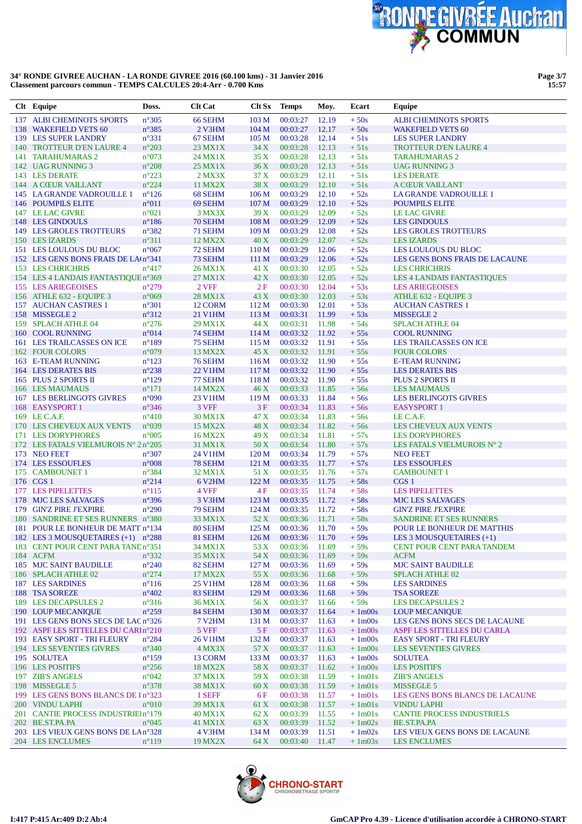

| Clt Equipe                                                             | Doss.                            | <b>Clt Cat</b>      | Clt Sx                   | <b>Temps</b>         | Moy.           | Ecart            | Equipe                                                   |
|------------------------------------------------------------------------|----------------------------------|---------------------|--------------------------|----------------------|----------------|------------------|----------------------------------------------------------|
| 137 ALBI CHEMINOTS SPORTS                                              | $n^{\circ}305$                   | 66 SEHM             | 103 <sub>M</sub>         | 00:03:27             | 12.19          | $+50s$           | <b>ALBI CHEMINOTS SPORTS</b>                             |
| 138 WAKEFIELD VETS 60                                                  | $n^{\circ}385$                   | 2 V3HM              | 104 <sub>M</sub>         | 00:03:27             | 12.17          | $+50s$           | <b>WAKEFIELD VETS 60</b>                                 |
| 139 LES SUPER LANDRY                                                   | $n^{\circ}331$                   | 67 SEHM             | 105 <sub>M</sub>         | 00:03:28             | 12.14          | $+51s$           | <b>LES SUPER LANDRY</b>                                  |
| 140 TROTTEUR D'EN LAURE 4                                              | $n^{\circ}203$                   | 23 MX1X             | 34 X                     | 00:03:28             | 12.13          | $+51s$           | <b>TROTTEUR D'EN LAURE 4</b>                             |
| 141 TARAHUMARAS 2                                                      | n°073                            | 24 MX1X             | 35X                      | 00:03:28             | 12.13          | $+51s$           | <b>TARAHUMARAS 2</b>                                     |
| 142 UAG RUNNING 3                                                      | $\rm n^o 208$                    | 25 MX1X             | 36X                      | 00:03:28             | 12.13          | $+51s$           | <b>UAG RUNNING 3</b>                                     |
| 143 LES DERATE                                                         | $n^{\circ}223$                   | $2$ MX $3X$         | 37 X                     | 00:03:29             | 12.11          | $+51s$           | <b>LES DERATE</b>                                        |
| 144 A CŒUR VAILLANT                                                    | $n^{\circ}224$                   | 11 MX2X             | 38 X                     | 00:03:29             | 12.10          | $+51s$           | <b>A CŒUR VAILLANT</b>                                   |
| 145 LA GRANDE VADROUILLE 1                                             | $n^{\circ}126$                   | 68 SEHM             | 106 <sub>M</sub>         | 00:03:29             | 12.10          | $+52s$           | LA GRANDE VADROUILLE 1                                   |
| 146 POUMPILS ELITE                                                     | $n^{\circ}011$                   | 69 SEHM             | 107 M                    | 00:03:29             | 12.10          | $+52s$           | <b>POUMPILS ELITE</b>                                    |
| 147 LE LAC GIVRE                                                       | $n^{\circ}021$                   | 3 MX3X              | 39X                      | 00:03:29             | 12.09          | $+52s$           | <b>LE LAC GIVRE</b>                                      |
| 148 LES GINDOULS                                                       | $n^{\circ}186$                   | 70 SEHM             | 108 M                    | 00:03:29             | 12.09          | $+52s$           | <b>LES GINDOULS</b>                                      |
| <b>149 LES GROLES TROTTEURS</b>                                        | $n^{\circ}382$<br>$n^{\circ}311$ | 71 SEHM<br>12 MX2X  | 109 <sub>M</sub><br>40 X | 00:03:29             | 12.08          | $+52s$<br>$+52s$ | <b>LES GROLES TROTTEURS</b>                              |
| 150 LES IZARDS<br>151 LES LOULOUS DU BLOC                              | $n^{\circ}067$                   | 72 SEHM             | 110 <sub>M</sub>         | 00:03:29<br>00:03:29 | 12.07<br>12.06 | $+52s$           | <b>LES IZARDS</b><br>LES LOULOUS DU BLOC                 |
| 152 LES GENS BONS FRAIS DE LA(n°341                                    |                                  | 73 SEHM             | 111 M                    | 00:03:29             | 12.06          | $+52s$           | LES GENS BONS FRAIS DE LACAUNE                           |
| 153 LES CHRICHRIS                                                      | $n^{\circ}417$                   | 26 MX1X             | 41 X                     | 00:03:30             | 12.05          | $+52s$           | <b>LES CHRICHRIS</b>                                     |
| 154 LES 4 LANDAIS FANTASTIQUE n°369                                    |                                  | 27 MX1X             | 42 X                     | 00:03:30             | 12.05          | $+52s$           | <b>LES 4 LANDAIS FANTASTIQUES</b>                        |
| 155 LES ARIEGEOISES                                                    | $n^{\circ}279$                   | 2 VFF               | 2F                       | 00:03:30             | 12.04          | $+53s$           | <b>LES ARIEGEOISES</b>                                   |
| 156 ATHLE 632 - EQUIPE 3                                               | n°069                            | <b>28 MX1X</b>      | 43 X                     | 00:03:30             | 12.03          | $+53s$           | ATHLE 632 - EQUIPE 3                                     |
| 157 AUCHAN CASTRES 1                                                   | $n^{\circ}301$                   | 12 CORM             | 112 M                    | 00:03:30             | 12.01          | $+53s$           | <b>AUCHAN CASTRES 1</b>                                  |
| 158 MISSEGLE 2                                                         | $n^{\circ}312$                   | 21 V1HM             | 113M                     | 00:03:31             | 11.99          | $+53s$           | MISSEGLE 2                                               |
| 159 SPLACH ATHLE 04                                                    | $n^{\circ}276$                   | 29 MX1X             | 44 X                     | 00:03:31             | 11.98          | $+54s$           | <b>SPLACH ATHLE 04</b>                                   |
| 160 COOL RUNNING                                                       | n°014                            | 74 SEHM             | 114 M                    | 00:03:32             | 11.92          | $+55s$           | <b>COOL RUNNING</b>                                      |
| 161 LES TRAILCASSES ON ICE                                             | $n^{\circ}189$                   | 75 SEHM             | 115 <sub>M</sub>         | 00:03:32             | 11.91          | $+55s$           | LES TRAILCASSES ON ICE                                   |
| 162 FOUR COLORS                                                        | n°079                            | 13 MX2X             | 45 X                     | 00:03:32             | 11.91          | $+55s$           | <b>FOUR COLORS</b>                                       |
| 163 E-TEAM RUNNING                                                     | $n^{\circ}123$                   | 76 SEHM             | 116M                     | 00:03:32             | 11.90          | $+55s$           | <b>E-TEAM RUNNING</b>                                    |
| 164 LES DERATES BIS                                                    | $n^{\circ}238$                   | <b>22 V1HM</b>      | 117 <sub>M</sub>         | 00:03:32             | 11.90          | $+55s$           | <b>LES DERATES BIS</b>                                   |
| 165 PLUS 2 SPORTS II                                                   | $n^{\circ}129$                   | 77 SEHM             | 118 M                    | 00:03:32             | 11.90          | $+55s$           | PLUS 2 SPORTS II                                         |
| 166 LES MAUMAUS                                                        | $n^{\circ}171$                   | 14 MX2X             | 46 X                     | 00:03:33             | 11.85          | $+56s$           | <b>LES MAUMAUS</b>                                       |
| <b>167 LES BERLINGOTS GIVRES</b>                                       | n°090                            | 23 V1HM             | 119 M                    | 00:03:33             | 11.84          | $+56s$           | <b>LES BERLINGOTS GIVRES</b>                             |
| 168 EASYSPORT 1                                                        | $n^{\circ}346$                   | 3 VFF               | 3F                       | 00:03:34             | 11.83          | $+56s$           | <b>EASYSPORT 1</b>                                       |
| 169 LE C.A.F.                                                          | $n^{\circ}410$                   | 30 MX1X             | 47 X                     | 00:03:34             | 11.83          | $+56s$           | LE C.A.F.                                                |
| 170 LES CHEVEUX AUX VENTS                                              | n°039                            | 15 MX2X             | 48 X                     | 00:03:34             | 11.82          | $+56s$           | LES CHEVEUX AUX VENTS                                    |
| 171 LES DORYPHORES                                                     | $n^{\circ}005$                   | 16 MX2X             | 49 X                     | 00:03:34             | 11.81          | $+57s$           | <b>LES DORYPHORES</b>                                    |
| 172 LES FATALS VIELMUROIS Nº 2 nº205                                   |                                  | 31 MX1X             | 50 X                     | 00:03:34             | 11.80          | $+57s$           | LES FATALS VIELMUROIS N° 2                               |
| 173 NEO FEET                                                           | $n^{\circ}307$                   | 24 V1HM             | 120 <sub>M</sub>         | 00:03:34             | 11.79          | $+57s$           | <b>NEO FEET</b>                                          |
| 174 LES ESSOUFLES                                                      | $n^{\circ}008$                   | 78 SEHM             | 121 M                    | 00:03:35             | 11.77          | $+57s$           | <b>LES ESSOUFLES</b>                                     |
| 175 CAMBOUNET 1                                                        | n°384                            | 32 MX1X             | 51 X                     | 00:03:35             | 11.76          | $+57s$           | <b>CAMBOUNET 1</b>                                       |
| 176 CGS 1                                                              | $n^{\circ}214$                   | 6 V <sub>2</sub> HM | 122 M                    | 00:03:35             | 11.75          | $+58s$           | CGS <sub>1</sub>                                         |
| 177 LES PIPELETTES                                                     | $n^{\circ}115$                   | 4 VFF               | 4 F                      | 00:03:35             | 11.74          | $+58s$           | <b>LES PIPELETTES</b>                                    |
| 178 MJC LES SALVAGES                                                   | $n^{\circ}396$                   | 3 V3HM              | 123 <sub>M</sub>         | 00:03:35             | 11.72          | $+58s$           | <b>MJC LES SALVAGES</b>                                  |
| 179 GIN'Z PIRE J'EXPIRE                                                | $n^{\circ}290$                   | 79 SEHM             | 124M                     | 00:03:35             | 11.72          | $+58s$           | <b>GIN'Z PIRE J'EXPIRE</b>                               |
| 180 SANDRINE ET SES RUNNERS n°380<br>181 POUR LE BONHEUR DE MATT n°134 |                                  | 33 MX1X             | 52 X<br>125 <sub>M</sub> | 00:03:36<br>00:03:36 | 11.71<br>11.70 | $+58s$<br>$+59s$ | <b>SANDRINE ET SES RUNNERS</b>                           |
| 182 LES 3 MOUSQUETAIRES (+1) n°288                                     |                                  | 80 SEHM<br>81 SEHM  | 126M                     | 00:03:36 11.70       |                | $+59s$           | POUR LE BONHEUR DE MATTHIS<br>LES 3 MOUSQUETAIRES $(+1)$ |
| 183 CENT POUR CENT PARA TAND n°351                                     |                                  | 34 MX1X             | 53 X                     | 00:03:36 11.69       |                | $+59s$           | CENT POUR CENT PARA TANDEM                               |
| 184 ACFM                                                               | $n^{\circ}332$                   | 35 MX1X             | 54 X                     | 00:03:36             | 11.69          | $+59s$           | <b>ACFM</b>                                              |
| <b>185 MJC SAINT BAUDILLE</b>                                          | $n^{\circ}240$                   | 82 SEHM             | 127 M                    | 00:03:36             | 11.69          | $+59s$           | <b>MJC SAINT BAUDILLE</b>                                |
| 186 SPLACH ATHLE 02                                                    | $n^{\circ}274$                   | 17 MX2X             | 55 X                     | 00:03:36             | 11.68          | $+59s$           | <b>SPLACH ATHLE 02</b>                                   |
| <b>187 LES SARDINES</b>                                                | $n^{\circ}116$                   | 25 V1HM             | 128 M                    | 00:03:36             | 11.68          | $+59s$           | <b>LES SARDINES</b>                                      |
| 188 TSA SOREZE                                                         | $n^{\circ}402$                   | 83 SEHM             | 129 M                    | 00:03:36             | 11.68          | $+59s$           | <b>TSA SOREZE</b>                                        |
| 189 LES DECAPSULES 2                                                   | $n^{\circ}316$                   | 36 MX1X             | 56 X                     | 00:03:37             | 11.66          | $+59s$           | <b>LES DECAPSULES 2</b>                                  |
| 190 LOUP MECANIQUE                                                     | $n^{\circ}259$                   | 84 SEHM             | 130 <sub>M</sub>         | 00:03:37             | 11.64          | $+1m00s$         | <b>LOUP MECANIQUE</b>                                    |
| 191 LES GENS BONS SECS DE LAC n°326                                    |                                  | <b>7 V2HM</b>       | 131 M                    | 00:03:37             | 11.63          | $+1m00s$         | LES GENS BONS SECS DE LACAUNE                            |
| 192 ASPF LES SITTELLES DU CARIn°210                                    |                                  | 5 VFF               | 5 F                      | 00:03:37             | 11.63          | $+1m00s$         | ASPF LES SITTELLES DU CARLA                              |
| 193 EASY SPORT - TRI FLEURY                                            | $n^{\circ}284$                   | <b>26 V1HM</b>      | 132 M                    | 00:03:37             | 11.63          | $+1m00s$         | <b>EASY SPORT - TRI FLEURY</b>                           |
| <b>194 LES SEVENTIES GIVRES</b>                                        | $n^{\circ}340$                   | 4 MX3X              | 57 X                     | 00:03:37             | 11.63          | $+1m00s$         | <b>LES SEVENTIES GIVRES</b>                              |
| 195 SOLUTEA                                                            | $n^{\circ}159$                   | 13 CORM             | 133 M                    | 00:03:37             | 11.63          | $+1m00s$         | <b>SOLUTEA</b>                                           |
| 196 LES POSITIFS                                                       | $n^{\circ}256$                   | 18 MX2X             | 58 X                     | 00:03:37             | 11.62          | $+1m00s$         | <b>LES POSITIFS</b>                                      |
| 197 ZIB'S ANGELS                                                       | $n^{\circ}042$                   | 37 MX1X             | 59 X                     | 00:03:38             | 11.59          | $+1m01s$         | <b>ZIB'S ANGELS</b>                                      |
| 198 MISSEGLE 5                                                         | $n^{\circ}378$                   | 38 MX1X             | 60 X                     | 00:03:38             | 11.59          | $+1m01s$         | MISSEGLE 5                                               |
| 199 LES GENS BONS BLANCS DE In°323                                     |                                  | 1 SEFF              | 6 F                      | 00:03:38             | 11.57          | $+1m01s$         | LES GENS BONS BLANCS DE LACAUNE                          |
| 200 VINDU LAPHI                                                        | $n^{\circ}010$                   | 39 MX1X             | 61 X                     | 00:03:38             | 11.57          | $+1m01s$         | <b>VINDU LAPHI</b>                                       |
| 201 CANTIE PROCESS INDUSTRIEIn°179                                     |                                  | 40 MX1X             | 62 X                     | 00:03:39             | 11.55          | $+1m01s$         | <b>CANTIE PROCESS INDUSTRIELS</b>                        |
| 202 BE.ST.PA.PA                                                        | $n^{\circ}045$                   | 41 MX1X             | 63 X                     | 00:03:39             | 11.52          | $+1m02s$         | BE.ST.PA.PA                                              |
| 203 LES VIEUX GENS BONS DE LA n°328                                    |                                  | 4 V3HM              | 134 M                    | 00:03:39             | 11.51          | $+1m02s$         | LES VIEUX GENS BONS DE LACAUNE                           |
| 204 LES ENCLUMES                                                       | $n^{\circ}119$                   | 19 MX2X             | 64 X                     | 00:03:40             | 11.47          | $+1m03s$         | <b>LES ENCLUMES</b>                                      |

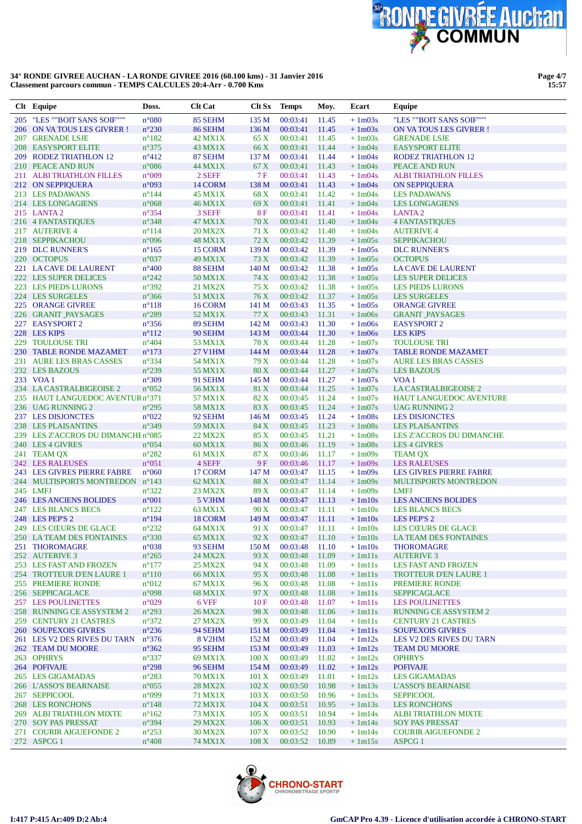

**Page 4/7 15:57**

| Clt Equipe                               | Doss.                            | <b>Clt Cat</b>            | Clt Sx            | <b>Temps</b>         | Moy.           | Ecart                | Equipe                                      |
|------------------------------------------|----------------------------------|---------------------------|-------------------|----------------------|----------------|----------------------|---------------------------------------------|
| 205 "LES ""BOIT SANS SOIF"""             | $n^{\circ}080$                   | 85 SEHM                   | 135 M             | 00:03:41             | 11.45          | $+1m03s$             | "LES ""BOIT SANS SOIF"""                    |
| 206 ON VA TOUS LES GIVRER!               | $n^{\circ}230$                   | 86 SEHM                   | 136 M             | 00:03:41             | 11.45          | $+1m03s$             | ON VATOUS LES GIVRER!                       |
| 207 GRENADE LSJE                         | $n^{\circ}182$                   | 42 MX1X                   | 65 X              | 00:03:41             | 11.45          | $+1m03s$             | <b>GRENADE LSJE</b>                         |
| <b>208 EASYSPORT ELITE</b>               | $n^{\circ}375$                   | 43 MX1X                   | 66 X              | 00:03:41             | 11.44          | $+1m04s$             | <b>EASYSPORT ELITE</b>                      |
| 209 RODEZ TRIATHLON 12                   | $n^{\circ}412$                   | 87 SEHM                   | 137 M             | 00:03:41             | 11.44          | $+1m04s$             | <b>RODEZ TRIATHLON 12</b>                   |
| 210 PEACE AND RUN                        | $n^{\circ}086$                   | 44 MX1X                   | 67 X              | 00:03:41             | 11.43          | $+1m04s$             | <b>PEACE AND RUN</b>                        |
| 211 ALBI TRIATHLON FILLES                | n°009                            | 2 SEFF                    | <b>7F</b>         | 00:03:41             | 11.43          | $+1m04s$             | <b>ALBITRIATHLON FILLES</b>                 |
| 212 ON SEPPIQUERA                        | n°093                            | 14 CORM                   | 138 M             | 00:03:41             | 11.43          | $+1m04s$             | <b>ON SEPPIQUERA</b>                        |
| 213 LES PADAWANS                         | $n^{\circ}$ 144                  | <b>45 MX1X</b>            | 68 X              | 00:03:41             | 11.42          | $+1m04s$             | <b>LES PADAWANS</b>                         |
| 214 LES LONGAGIENS                       | $n^{\circ}068$                   | 46 MX1X                   | 69 X              | 00:03:41             | 11.41          | $+1m04s$             | <b>LES LONGAGIENS</b>                       |
| 215 LANTA 2                              | $n^{\circ}354$                   | 3 SEFF                    | <b>8F</b>         | 00:03:41             | 11.41          | $+1m04s$             | <b>LANTA2</b>                               |
| 216 4 FANTASTIQUES                       | $n^{\circ}348$                   | 47 MX1X                   | 70 X              | 00:03:41             | 11.40          | $+1m04s$             | <b>4 FANTASTIQUES</b>                       |
| 217 AUTERIVE 4                           | $n^{\circ}114$                   | <b>20 MX2X</b>            | 71 X              | 00:03:42             | 11.40          | $+1m04s$             | <b>AUTERIVE 4</b>                           |
| 218 SEPPIKACHOU                          | n°096                            | <b>48 MX1X</b>            | 72 X              | 00:03:42             | 11.39          | $+1m05s$             | <b>SEPPIKACHOU</b>                          |
| 219 DLC RUNNER'S                         | $n^{\circ}165$                   | 15 CORM                   | 139 M             | 00:03:42             | 11.39          | $+1m05s$             | <b>DLC RUNNER'S</b>                         |
| 220 OCTOPUS                              | $n^{\circ}037$                   | 49 MX1X                   | 73 X              | 00:03:42             | 11.39          | $+1m05s$             | <b>OCTOPUS</b>                              |
| 221 LA CAVE DE LAURENT                   | $n^{\circ}400$                   | 88 SEHM                   | 140 M             | 00:03:42             | 11.38          | $+1m05s$             | LA CAVE DE LAURENT                          |
| 222 LES SUPER DELICES                    | $n^{\circ}242$                   | 50 MX1X                   | 74 X<br>75 X      | 00:03:42             | 11.38          | $+1m05s$             | <b>LES SUPER DELICES</b>                    |
| 223 LES PIEDS LURONS<br>224 LES SURGELES | n°392                            | 21 MX2X                   | 76 X              | 00:03:42             | 11.38          | $+1m05s$             | <b>LES PIEDS LURONS</b>                     |
|                                          | $n^{\circ}366$                   | 51 MX1X                   | 141 M             | 00:03:42<br>00:03:43 | 11.37          | $+1m05s$             | <b>LES SURGELES</b><br><b>ORANGE GIVREE</b> |
| 225 ORANGE GIVREE<br>226 GRANIT PAYSAGES | $n^{\circ}118$<br>$n^{\circ}289$ | 16 CORM<br>52 MX1X        | 77 X              | 00:03:43             | 11.35<br>11.31 | $+1m05s$<br>$+1m06s$ | <b>GRANIT PAYSAGES</b>                      |
| 227 EASYSPORT 2                          | $n^{\circ}356$                   | 89 SEHM                   | 142 M             | 00:03:43             | 11.30          | $+1m06s$             | <b>EASYSPORT 2</b>                          |
| 228 LES KIPS                             | $n^{\circ}112$                   | 90 SEHM                   | 143 M             | 00:03:44             | 11.30          | $+1m06s$             | <b>LES KIPS</b>                             |
| 229 TOULOUSE TRI                         | $n^{\circ}404$                   | 53 MX1X                   | 78 X              | 00:03:44             | 11.28          | $+1m07s$             | <b>TOULOUSE TRI</b>                         |
| 230 TABLE RONDE MAZAMET                  | $n^{\circ}173$                   | 27 V1HM                   | 144 M             | 00:03:44             | 11.28          | $+1m07s$             | <b>TABLE RONDE MAZAMET</b>                  |
| 231 AURE LES BRAS CASSES                 | $n^{\circ}334$                   | 54 MX1X                   | 79 X              | 00:03:44             | 11.28          | $+1m07s$             | <b>AURE LES BRAS CASSES</b>                 |
| 232 LES BAZOUS                           | $n^{\circ}239$                   | 55 MX1X                   | 80 X              | 00:03:44             | 11.27          | $+1m07s$             | <b>LES BAZOUS</b>                           |
| 233 VOA1                                 | $n^{\circ}309$                   | 91 SEHM                   | 145 M             | 00:03:44             | 11.27          | $+1m07s$             | VOA <sub>1</sub>                            |
| 234 LA CASTRALBIGEOISE 2                 | $n^{\circ}052$                   | 56 MX1X                   | 81 X              | 00:03:44             | 11.25          | $+1m07s$             | <b>LA CASTRALBIGEOISE 2</b>                 |
| 235 HAUT LANGUEDOC AVENTUR n°371         |                                  | 57 MX1X                   | 82 X              | 00:03:45             | 11.24          | $+1m07s$             | <b>HAUT LANGUEDOC AVENTURE</b>              |
| 236 UAG RUNNING 2                        | $n^{\circ}295$                   | 58 MX1X                   | 83 X              | 00:03:45             | 11.24          | $+1m07s$             | <b>UAG RUNNING 2</b>                        |
| 237 LES DISJONCTES                       | $n^{\circ}022$                   | 92 SEHM                   | 146 M             | 00:03:45             | 11.24          | $+1m08s$             | <b>LES DISJONCTES</b>                       |
| 238 LES PLAISANTINS                      | n°349                            | 59 MX1X                   | 84 X              | 00:03:45             | 11.23          | $+1m08s$             | <b>LES PLAISANTINS</b>                      |
| 239 LES Z'ACCROS DU DIMANCHE n°085       |                                  | 22 MX2X                   | 85 X              | 00:03:45             | 11.21          | $+1m08s$             | LES Z'ACCROS DU DIMANCHE                    |
| 240 LES 4 GIVRES                         | $n^{\circ}054$                   | 60 MX1X                   | 86 X              | 00:03:46             | 11.19          | $+1m08s$             | <b>LES 4 GIVRES</b>                         |
| 241 TEAM QX                              | $n^{\circ}282$                   | 61 MX1X                   | 87 X              | 00:03:46             | 11.17          | $+1m09s$             | <b>TEAM QX</b>                              |
| 242 LES RALEUSES                         | $n^{\circ}051$                   | 4 SEFF                    | 9F                | 00:03:46             | 11.17          | $+1m09s$             | <b>LES RALEUSES</b>                         |
| 243 LES GIVRES PIERRE FABRE              | $n^{\circ}060$                   | 17 CORM                   | 147 M             | 00:03:47             | 11.15          | $+1m09s$             | <b>LES GIVRES PIERRE FABRE</b>              |
| 244 MULTISPORTS MONTREDON n°143          |                                  | 62 MX1X                   | 88 X              | 00:03:47             | 11.14          | $+1m09s$             | <b>MULTISPORTS MONTREDON</b>                |
| 245 LMFJ                                 | $n^{\circ}322$                   | 23 MX2X                   | 89 X              | 00:03:47             | 11.14          | $+1m09s$             | <b>LMFJ</b>                                 |
| <b>246 LES ANCIENS BOLIDES</b>           | $\mathtt{n}^{\circ}001$          | 5 V3HM                    | 148 M             | 00:03:47             | 11.13          | $+1m10s$             | <b>LES ANCIENS BOLIDES</b>                  |
| 247 LES BLANCS BECS                      | $n^{\circ}122$                   | 63 MX1X                   | 90 X              | 00:03:47             | 11.11          | $+1m10s$             | <b>LES BLANCS BECS</b>                      |
| 248 LES PEP'S 2                          | $n^{\circ}194$                   | 18 CORM                   | 149 M             | 00:03:47             | 11.11          | $+1m10s$             | <b>LES PEP'S 2</b>                          |
| 249 LES CŒURS DE GLACE                   | $n^{\circ}232$                   | 64 MX1X                   | 91 X              | 00:03:47             | 11.11          | $+1m10s$             | <b>LES CŒURS DE GLACE</b>                   |
| 250 LA TEAM DES FONTAINES                | $n^{\circ}330$                   | 65 MX1X                   | 92 X              | 00:03:47             | 11.10          | $+1m10s$             | LA TEAM DES FONTAINES                       |
| 251 THOROMAGRE                           | $n^{\circ}038$                   | 93 SEHM                   | 150 M             | 00:03:48             | 11.10          | $+1m10s$             | <b>THOROMAGRE</b>                           |
| 252 AUTERIVE 3                           | $n^{\circ}265$                   | 24 MX2X                   | 93 X              | 00:03:48             | 11.09          | $+1m11s$             | <b>AUTERIVE 3</b>                           |
| 253 LES FAST AND FROZEN                  | $n^{\circ}177$                   | <b>25 MX2X</b>            | 94 X              | 00:03:48             | 11.09          | $+1m11s$             | <b>LES FAST AND FROZEN</b>                  |
| 254 TROTTEUR D'EN LAURE 1                | $n^{\circ}110$                   | 66 MX1X                   | 95 X              | 00:03:48             | 11.08          | $+1m11s$             | <b>TROTTEUR D'EN LAURE 1</b>                |
| 255 PREMIERE RONDE                       | $n^{\circ}012$                   | 67 MX1X                   | 96 X              | 00:03:48             | 11.08          | $+1ml1s$             | PREMIERE RONDE                              |
| 256 SEPPICAGLACE                         | n°098                            | <b>68 MX1X</b>            | 97 X              | 00:03:48             | 11.08          | $+1m11s$             | <b>SEPPICAGLACE</b>                         |
| <b>257 LES POULINETTES</b>               | $n^{\circ}029$                   | 6 VFF                     | 10F               | 00:03:48             | 11.07          | $+1m11s$             | <b>LES POULINETTES</b>                      |
| 258 RUNNING CE ASSYSTEM 2                | $n^{\circ}293$                   | <b>26 MX2X</b>            | 98 X              | 00:03:48             | 11.06          | $+1m11s$             | <b>RUNNING CE ASSYSTEM 2</b>                |
| 259 CENTURY 21 CASTRES                   | $n^{\circ}372$                   | 27 MX2X                   | 99 X              | 00:03:49             | 11.04          | $+1m11s$             | <b>CENTURY 21 CASTRES</b>                   |
| <b>260 SOUPEXOIS GIVRES</b>              | $n^{\circ}236$                   | 94 SEHM                   | 151 M             | 00:03:49             | 11.04          | $+1m11s$             | <b>SOUPEXOIS GIVRES</b>                     |
| 261 LES V2 DES RIVES DU TARN             | $n^{\circ}376$                   | <b>8 V2HM</b>             | 152 M             | 00:03:49             | 11.04          | $+1m12s$             | LES V2 DES RIVES DU TARN                    |
| 262 TEAM DU MOORE                        | $n^{\circ}362$                   | 95 SEHM                   | 153 M             | 00:03:49             | 11.03          | $+1m12s$             | <b>TEAM DU MOORE</b>                        |
| 263 OPHRYS                               | $n^{\circ}337$                   | 69 MX1X                   | $100\,\mathrm{X}$ | 00:03:49             | 11.02          | $+1m12s$             | <b>OPHRYS</b>                               |
| 264 POFIVAJE<br>265 LES GIGAMADAS        | $n^{\circ}298$<br>$n^{\circ}283$ | 96 SEHM<br><b>70 MX1X</b> | 154M<br>101 X     | 00:03:49<br>00:03:49 | 11.02<br>11.01 | $+1m12s$<br>$+1m12s$ | <b>POFIVAJE</b><br><b>LES GIGAMADAS</b>     |
| 266 L'ASSO'S BEARNAISE                   | $n^{\circ}055$                   | <b>28 MX2X</b>            | 102 X             | 00:03:50             | 10.98          | $+1m13s$             | <b>L'ASSO'S BEARNAISE</b>                   |
| 267 SEPPICOOL                            | $n^{\circ}099$                   | 71 MX1X                   | 103 X             | 00:03:50             | 10.96          | $+1m13s$             | <b>SEPPICOOL</b>                            |
| 268 LES RONCHONS                         | $n^{\circ}$ 148                  | 72 MX1X                   | 104 X             | 00:03:51             | 10.95          | $+1m13s$             | <b>LES RONCHONS</b>                         |
| 269 ALBI TRIATHLON MIXTE                 | $n^{\circ}162$                   | 73 MX1X                   | 105 X             | 00:03:51             | 10.94          | $+1m14s$             | <b>ALBI TRIATHLON MIXTE</b>                 |
| 270 SOY PAS PRESSAT                      | $n^{\circ}394$                   | 29 MX2X                   | 106 X             | 00:03:51             | 10.93          | $+1m14s$             | <b>SOY PAS PRESSAT</b>                      |
| 271 COURIR AIGUEFONDE 2                  | $n^{\circ}253$                   | 30 MX2X                   | 107 X             | 00:03:52             | 10.90          | $+1m14s$             | <b>COURIR AIGUEFONDE 2</b>                  |
| 272 ASPCG 1                              | $n^{\circ}408$                   | 74 MX1X                   | 108 X             | 00:03:52             | 10.89          | $+1m15s$             | <b>ASPCG 1</b>                              |
|                                          |                                  |                           |                   |                      |                |                      |                                             |

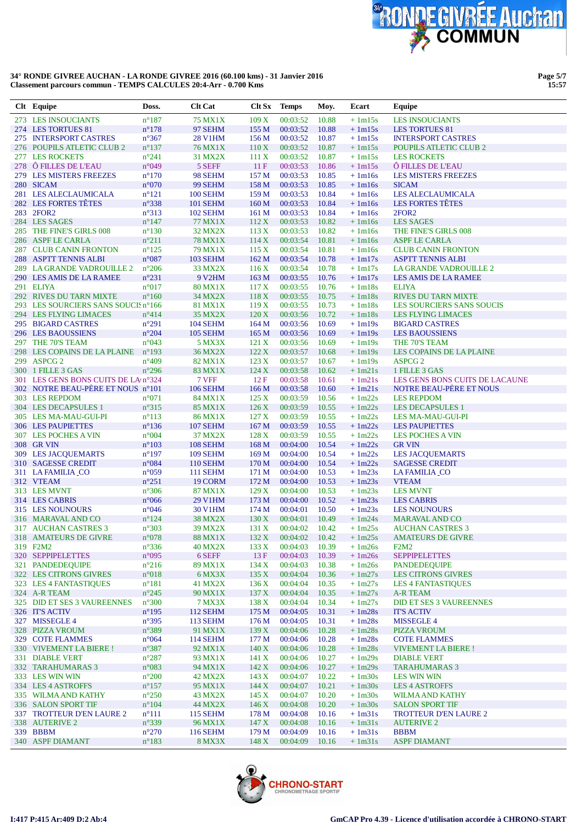

**Page 5/7 15:57**

| Clt Equipe                          | Doss.               | <b>Clt Cat</b>  | Clt Sx           | <b>Temps</b> | Moy.  | Ecart    | Equipe                         |
|-------------------------------------|---------------------|-----------------|------------------|--------------|-------|----------|--------------------------------|
| 273 LES INSOUCIANTS                 | $n^{\circ}187$      | <b>75 MX1X</b>  | 109 X            | 00:03:52     | 10.88 | $+1m15s$ | <b>LES INSOUCIANTS</b>         |
| 274 LES TORTUES 81                  | $n^{\circ}178$      | 97 SEHM         | 155M             | 00:03:52     | 10.88 | $+1m15s$ | <b>LES TORTUES 81</b>          |
| 275 INTERSPORT CASTRES              | $n^{\circ}367$      | <b>28 V1HM</b>  | 156M             | 00:03:52     | 10.87 | $+1m15s$ | <b>INTERSPORT CASTRES</b>      |
| 276 POUPILS ATLETIC CLUB 2          | $n^{\circ}137$      | <b>76 MX1X</b>  | 110X             | 00:03:52     | 10.87 | $+1m15s$ | POUPILS ATLETIC CLUB 2         |
| 277 LES ROCKETS                     | $n^{\circ}241$      | 31 MX2X         | 111X             | 00:03:52     | 10.87 | $+1m15s$ | <b>LES ROCKETS</b>             |
| 278 Ô FILLES DE L'EAU               | n°049               | 5 SEFF          | 11F              | 00:03:53     | 10.86 | $+1m15s$ | Ô FILLES DE L'EAU              |
| 279 LES MISTERS FREEZES             | $n^{\circ}170$      | 98 SEHM         | 157 M            | 00:03:53     | 10.85 | $+1m16s$ | <b>LES MISTERS FREEZES</b>     |
| 280 SICAM                           | $\rm{n}^{\circ}070$ | 99 SEHM         | 158 M            | 00:03:53     | 10.85 | $+1m16s$ | <b>SICAM</b>                   |
| 281 LES ALECLAUMICALA               | $n^{\circ}121$      | <b>100 SEHM</b> | 159 <sub>M</sub> | 00:03:53     | 10.84 | $+1m16s$ | <b>LES ALECLAUMICALA</b>       |
| 282 LES FORTES TÊTES                | $n^{\circ}338$      | <b>101 SEHM</b> | 160 <sub>M</sub> | 00:03:53     | 10.84 | $+1m16s$ | LES FORTES TÊTES               |
| 283 2FOR2                           | $n^{\circ}313$      | <b>102 SEHM</b> | 161 <sub>M</sub> | 00:03:53     | 10.84 | $+1m16s$ | 2FOR <sub>2</sub>              |
| 284 LES SAGES                       | $n^{\circ}$ 147     | 77 MX1X         | 112 X            | 00:03:53     | 10.82 | $+1m16s$ | <b>LES SAGES</b>               |
| 285 THE FINE'S GIRLS 008            | $n^{\circ}130$      | 32 MX2X         | 113X             | 00:03:53     | 10.82 | $+1m16s$ | THE FINE'S GIRLS 008           |
| 286 ASPF LE CARLA                   | $n^{\circ}211$      | <b>78 MX1X</b>  | 114X             | 00:03:54     | 10.81 | $+1m16s$ | <b>ASPF LE CARLA</b>           |
| 287 CLUB CANIN FRONTON              | $n^{\circ}125$      | 79 MX1X         | 115X             | 00:03:54     | 10.81 | $+1m16s$ | <b>CLUB CANIN FRONTON</b>      |
| 288 ASPTT TENNIS ALBI               | $n^{\circ}087$      | <b>103 SEHM</b> | 162 M            | 00:03:54     | 10.78 | $+1m17s$ | <b>ASPTT TENNIS ALBI</b>       |
| 289 LA GRANDE VADROUILLE 2          | $n^{\circ}206$      | 33 MX2X         | 116X             | 00:03:54     | 10.78 | $+1m17s$ | LA GRANDE VADROUILLE 2         |
| 290 LES AMIS DE LA RAMEE            | $n^{\circ}231$      | <b>9 V2HM</b>   | 163 M            | 00:03:55     | 10.76 | $+1m17s$ | LES AMIS DE LA RAMEE           |
| 291 ELIYA                           | $n^{\circ}017$      | <b>80 MX1X</b>  | 117X             | 00:03:55     | 10.76 | $+1m18s$ | <b>ELIYA</b>                   |
| 292 RIVES DU TARN MIXTE             | $n^{\circ}160$      | 34 MX2X         | 118 X            | 00:03:55     | 10.75 | $+1m18s$ | <b>RIVES DU TARN MIXTE</b>     |
| 293 LES SOURCIERS SANS SOUCIS n°166 |                     | 81 MX1X         | 119X             | 00:03:55     | 10.73 | $+1m18s$ | LES SOURCIERS SANS SOUCIS      |
| 294 LES FLYING LIMACES              | $n^{\circ}414$      | 35 MX2X         | 120 X            | 00:03:56     | 10.72 | $+1m18s$ | <b>LES FLYING LIMACES</b>      |
| 295 BIGARD CASTRES                  | $n^{\circ}291$      | <b>104 SEHM</b> | 164M             | 00:03:56     | 10.69 | $+1m19s$ | <b>BIGARD CASTRES</b>          |
| 296 LES BAOUSSIENS                  | $n^{\circ}204$      | <b>105 SEHM</b> | 165 M            | 00:03:56     | 10.69 | $+1m19s$ | <b>LES BAOUSSIENS</b>          |
| 297 THE 70'S TEAM                   | $n^{\circ}043$      | 5 MX3X          | 121 X            | 00:03:56     | 10.69 | $+1m19s$ | THE 70'S TEAM                  |
| 298 LES COPAINS DE LA PLAINE        | $n^{\circ}193$      | 36 MX2X         | 122 X            | 00:03:57     | 10.68 | $+1m19s$ | LES COPAINS DE LA PLAINE       |
| 299 ASPCG 2                         | $n^{\circ}409$      | 82 MX1X         | 123X             | 00:03:57     | 10.67 | $+1m19s$ | ASPCG <sub>2</sub>             |
| 300 1 FILLE 3 GAS                   | $n^{\circ}296$      | 83 MX1X         | 124X             | 00:03:58     | 10.62 | $+1m21s$ | 1 FILLE 3 GAS                  |
| 301 LES GENS BONS CUITS DE LAIn°324 |                     | 7 VFF           | 12 F             | 00:03:58     | 10.61 | $+1m21s$ | LES GENS BONS CUITS DE LACAUNE |
| 302 NOTRE BEAU-PÈRE ET NOUS n°101   |                     | <b>106 SEHM</b> | 166 <sub>M</sub> | 00:03:58     | 10.60 | $+1m21s$ | NOTRE BEAU-PÈRE ET NOUS        |
| 303 LES REPDOM                      | $n^{\circ}071$      | 84 MX1X         | 125 X            | 00:03:59     | 10.56 | $+1m22s$ | <b>LES REPDOM</b>              |
| 304 LES DECAPSULES 1                | $n^{\circ}315$      | 85 MX1X         | 126X             | 00:03:59     | 10.55 | $+1m22s$ | <b>LES DECAPSULES 1</b>        |
| 305 LES MA-MAU-GUI-PI               | $n^{\circ}113$      | <b>86 MX1X</b>  | 127 X            | 00:03:59     | 10.55 | $+1m22s$ | <b>LES MA-MAU-GUI-PI</b>       |
| 306 LES PAUPIETTES                  | $n^{\circ}136$      | <b>107 SEHM</b> | 167 M            | 00:03:59     | 10.55 | $+1m22s$ | <b>LES PAUPIETTES</b>          |
| 307 LES POCHES A VIN                | $n^{\circ}004$      | 37 MX2X         | 128X             | 00:03:59     | 10.55 | $+1m22s$ | <b>LES POCHES A VIN</b>        |
| 308 GR VIN                          | $n^{\circ}103$      | 108 SEHM        | 168 <sub>M</sub> | 00:04:00     | 10.54 | $+1m22s$ | <b>GR VIN</b>                  |
| 309 LES JACQUEMARTS                 | $n^{\circ}197$      | <b>109 SEHM</b> | 169 <sub>M</sub> | 00:04:00     | 10.54 | $+1m22s$ | <b>LES JACQUEMARTS</b>         |
| 310 SAGESSE CREDIT                  | $n^{\circ}084$      | <b>110 SEHM</b> | 170 M            | 00:04:00     | 10.54 | $+1m22s$ | <b>SAGESSE CREDIT</b>          |
| 311 LA FAMILIA_CO                   | $n^{\circ}059$      | <b>111 SEHM</b> | 171 M            | 00:04:00     | 10.53 | $+1m23s$ | <b>LA FAMILIA CO</b>           |
| 312 VTEAM                           | $n^{\circ}251$      | 19 CORM         | 172 M            | 00:04:00     | 10.53 | $+1m23s$ | <b>VTEAM</b>                   |
| 313 LES MVNT                        | $n^{\circ}306$      | 87 MX1X         | 129X             | 00:04:00     | 10.53 | $+1m23s$ | <b>LES MVNT</b>                |
| 314 LES CABRIS                      | $n^{\circ}066$      | <b>29 V1HM</b>  | 173M             | 00:04:00     | 10.52 | $+1m23s$ | <b>LES CABRIS</b>              |
| 315 LES NOUNOURS                    | $n^{\circ}046$      | 30 V1HM         | 174M             | 00:04:01     | 10.50 | $+1m23s$ | <b>LES NOUNOURS</b>            |
| 316 MARAVAL AND CO                  | $n^{\circ}124$      | 38 MX2X         | 130X             | 00:04:01     | 10.49 | $+1m24s$ | <b>MARAVAL AND CO</b>          |
| 317 AUCHAN CASTRES 3                | $n^{\circ}303$      | 39 MX2X         | 131X             | 00:04:02     | 10.42 | $+1m25s$ | <b>AUCHAN CASTRES 3</b>        |
| 318 AMATEURS DE GIVRE               | n°078               | <b>88 MX1X</b>  | 132 X            | 00:04:02     | 10.42 | $+1m25s$ | <b>AMATEURS DE GIVRE</b>       |
| 319 F2M2                            | $n^{\circ}336$      | <b>40 MX2X</b>  | 133 X            | 00:04:03     | 10.39 | $+1m26s$ | F2M2                           |
| 320 SEPPIPELETTES                   | $n^{\circ}095$      | 6 SEFF          | 13F              | 00:04:03     | 10.39 | $+1m26s$ | <b>SEPPIPELETTES</b>           |
| 321 PANDEDEQUIPE                    | $n^{\circ}216$      | 89 MX1X         | 134 X            | 00:04:03     | 10.38 | $+1m26s$ | <b>PANDEDEQUIPE</b>            |
| 322 LES CITRONS GIVRES              | $n^{\circ}018$      | 6 MX3X          | 135 X            | 00:04:04     | 10.36 | $+1m27s$ | <b>LES CITRONS GIVRES</b>      |
| 323 LES 4 FANTASTIQUES              | $n^{\circ}181$      | 41 MX2X         | 136X             | 00:04:04     | 10.35 | $+1m27s$ | <b>LES 4 FANTASTIQUES</b>      |
| 324 A-R TEAM                        | $n^{\circ}245$      | 90 MX1X         | 137 X            | 00:04:04     | 10.35 | $+1m27s$ | <b>A-R TEAM</b>                |
| 325 DID ET SES 3 VAUREENNES         | $n^{\circ}300$      | 7 MX3X          | 138X             | 00:04:04     | 10.34 | $+1m27s$ | <b>DID ET SES 3 VAUREENNES</b> |
| 326 IT'S ACTIV                      | $n^{\circ}$ 195     | <b>112 SEHM</b> | 175 <sub>M</sub> | 00:04:05     | 10.31 | $+1m28s$ | <b>IT'S ACTIV</b>              |
| 327 MISSEGLE 4                      | $n^{\circ}395$      | <b>113 SEHM</b> | 176M             | 00:04:05     | 10.31 | $+1m28s$ | <b>MISSEGLE 4</b>              |
| 328 PIZZA VROUM                     | n°389               | 91 MX1X         | 139X             | 00:04:06     | 10.28 | $+1m28s$ | <b>PIZZA VROUM</b>             |
| 329 COTE FLAMMES                    | $n^{\circ}064$      | <b>114 SEHM</b> | 177 <sub>M</sub> | 00:04:06     | 10.28 | $+1m28s$ | <b>COTE FLAMMES</b>            |
| 330 VIVEMENT LA BIERE !             | $n^{\circ}387$      | 92 MX1X         | 140X             | 00:04:06     | 10.28 | $+1m28s$ | <b>VIVEMENT LA BIERE!</b>      |
| 331 DIABLE VERT                     | $n^{\circ}287$      | 93 MX1X         | 141 X            | 00:04:06     | 10.27 | $+1m29s$ | <b>DIABLE VERT</b>             |
| 332 TARAHUMARAS 3                   | $n^{\circ}083$      | 94 MX1X         | 142 X            | 00:04:06     | 10.27 | $+1m29s$ | <b>TARAHUMARAS 3</b>           |
| 333 LES WIN WIN                     | $n^{\circ}200$      | 42 MX2X         | 143 X            | 00:04:07     | 10.22 | $+1m30s$ | <b>LES WIN WIN</b>             |
| 334 LES 4 ASTROFFS                  | $n^{\circ}157$      | 95 MX1X         | 144X             | 00:04:07     | 10.21 | $+1m30s$ | <b>LES 4 ASTROFFS</b>          |
| 335 WILMA AND KATHY                 | $n^{\circ}250$      | 43 MX2X         | 145 X            | 00:04:07     | 10.20 | $+1m30s$ | <b>WILMA AND KATHY</b>         |
| 336 SALON SPORT TIF                 | $n^{\circ}104$      | 44 MX2X         | 146X             | 00:04:08     | 10.20 | $+1m30s$ | <b>SALON SPORT TIF</b>         |
| 337 TROTTEUR D'EN LAURE 2           | $n^{\circ}111$      | <b>115 SEHM</b> | 178 M            | 00:04:08     | 10.16 | $+1m31s$ | <b>TROTTEUR D'EN LAURE 2</b>   |
| 338 AUTERIVE 2                      | $n^{\circ}339$      | 96 MX1X         | 147X             | 00:04:08     | 10.16 | $+1m31s$ | <b>AUTERIVE 2</b>              |
| 339 BBBM                            | $n^{\circ}270$      | <b>116 SEHM</b> | 179 M            | 00:04:09     | 10.16 | $+1m31s$ | <b>BBBM</b>                    |
| 340 ASPF DIAMANT                    | $n^{\circ}183$      | <b>8 MX3X</b>   | 148X             | 00:04:09     | 10.16 | $+1m31s$ | <b>ASPF DIAMANT</b>            |

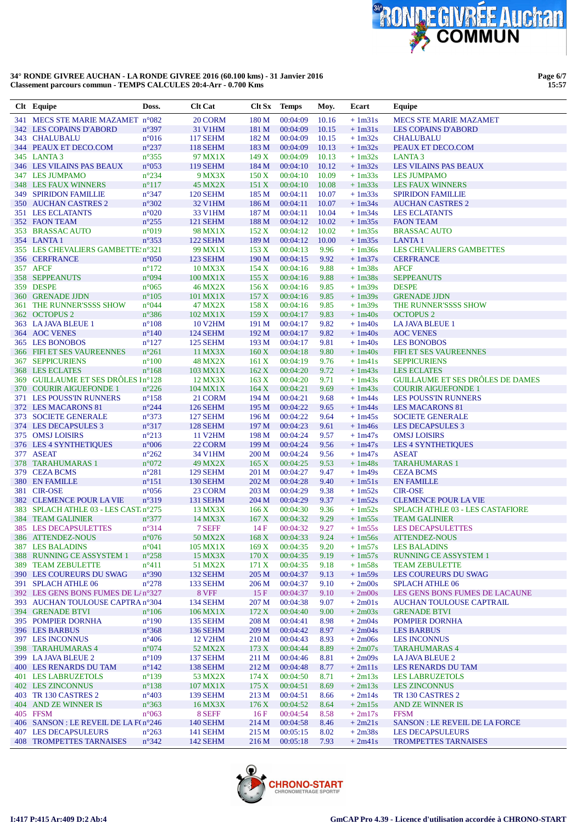

| Clt Equipe                                                        | Doss.                   | <b>Clt Cat</b>      | Clt Sx        | <b>Temps</b>         | Moy.          | Ecart                | Equipe                                                   |
|-------------------------------------------------------------------|-------------------------|---------------------|---------------|----------------------|---------------|----------------------|----------------------------------------------------------|
| 341 MECS STE MARIE MAZAMET n°082                                  |                         | 20 CORM             | 180 M         | 00:04:09             | 10.16         | $+1m31s$             | <b>MECS STE MARIE MAZAMET</b>                            |
| 342 LES COPAINS D'ABORD                                           | $n^{\circ}397$          | 31 V1HM             | 181 M         | 00:04:09             | 10.15         | $+1m31s$             | <b>LES COPAINS D'ABORD</b>                               |
| 343 CHALUBALU                                                     | $n^{\circ}016$          | <b>117 SEHM</b>     | 182 M         | 00:04:09             | 10.15         | $+1m32s$             | <b>CHALUBALU</b>                                         |
| 344 PEAUX ET DECO.COM                                             | $n^{\circ}237$          | <b>118 SEHM</b>     | 183 M         | 00:04:09             | 10.13         | $+1m32s$             | PEAUX ET DECO.COM                                        |
| 345 LANTA 3                                                       | $n^{\circ}355$          | 97 MX1X             | 149X          | 00:04:09             | 10.13         | $+1m32s$             | LANTA <sub>3</sub>                                       |
| <b>346 LES VILAINS PAS BEAUX</b>                                  | $n^{\circ}053$          | <b>119 SEHM</b>     | 184 M         | 00:04:10             | 10.12         | $+1m32s$             | LES VILAINS PAS BEAUX                                    |
| 347 LES JUMPAMO                                                   | $n^{\circ}234$          | 9 MX3X              | 150 X         | 00:04:10             | 10.09         | $+1m33s$             | <b>LES JUMPAMO</b>                                       |
| 348 LES FAUX WINNERS                                              | $n^{\circ}117$          | 45 MX2X             | 151X          | 00:04:10             | 10.08         | $+1m33s$             | <b>LES FAUX WINNERS</b>                                  |
| <b>349 SPIRIDON FAMILLIE</b>                                      | $n^{\circ}347$          | 120 SEHM            | 185 M         | 00:04:11             | 10.07         | $+1m33s$             | <b>SPIRIDON FAMILLIE</b>                                 |
| 350 AUCHAN CASTRES 2                                              | $n^{\circ}302$          | <b>32 V1HM</b>      | 186 M         | 00:04:11             | 10.07         | $+1m34s$             | <b>AUCHAN CASTRES 2</b>                                  |
| 351 LES ECLATANTS                                                 | $n^{\circ}020$          | 33 V1HM             | 187 M         | 00:04:11             | 10.04         | $+1m34s$             | <b>LES ECLATANTS</b>                                     |
| 352 FAON TEAM                                                     | $n^{\circ}255$          | 121 SEHM            | 188 M         | 00:04:12             | 10.02         | $+1m35s$             | <b>FAON TEAM</b>                                         |
| 353 BRASSAC AUTO                                                  | $n^{\circ}019$          | 98 MX1X             | 152 X         | 00:04:12             | 10.02         | $+1m35s$             | <b>BRASSAC AUTO</b>                                      |
| 354 LANTA 1<br>355 LES CHEVALIERS GAMBETTE!n°321                  | $n^{\circ}353$          | 122 SEHM<br>99 MX1X | 189 M<br>153X | 00:04:12<br>00:04:13 | 10.00<br>9.96 | $+1m35s$<br>$+1m36s$ | <b>LANTA1</b><br>LES CHEVALIERS GAMBETTES                |
| 356 CERFRANCE                                                     | $n^{\circ}050$          | 123 SEHM            | 190 M         | 00:04:15             | 9.92          | $+1m37s$             | <b>CERFRANCE</b>                                         |
| 357 AFCF                                                          | $n^{\circ}172$          | <b>10 MX3X</b>      | 154 X         | 00:04:16             | 9.88          | $+1m38s$             | <b>AFCF</b>                                              |
| 358 SEPPEANUTS                                                    | n°094                   | 100 MX1X            | 155X          | 00:04:16             | 9.88          | $+1m38s$             | <b>SEPPEANUTS</b>                                        |
| 359 DESPE                                                         | $n^{\circ}065$          | <b>46 MX2X</b>      | 156 X         | 00:04:16             | 9.85          | $+1m39s$             | <b>DESPE</b>                                             |
| 360 GRENADE JJDN                                                  | $n^{\circ}105$          | 101 MX1X            | 157 X         | 00:04:16             | 9.85          | $+1m39s$             | <b>GRENADE JJDN</b>                                      |
| 361 THE RUNNER'SSSS SHOW                                          | $n^{\circ}044$          | 47 MX2X             | 158X          | 00:04:16             | 9.85          | $+1m39s$             | THE RUNNER'SSSS SHOW                                     |
| 362 OCTOPUS 2                                                     | $n^{\circ}386$          | 102 MX1X            | 159 X         | 00:04:17             | 9.83          | $+1m40s$             | <b>OCTOPUS 2</b>                                         |
| 363 LA JAVA BLEUE 1                                               | $n^{\circ}108$          | <b>10 V2HM</b>      | 191 M         | 00:04:17             | 9.82          | $+1m40s$             | <b>LA JAVA BLEUE 1</b>                                   |
| 364 AOC VENES                                                     | $n^{\circ}140$          | 124 SEHM            | 192 M         | 00:04:17             | 9.82          | $+1m40s$             | <b>AOC VENES</b>                                         |
| 365 LES BONOBOS                                                   | $n^{\circ}127$          | 125 SEHM            | 193 M         | 00:04:17             | 9.81          | $+1m40s$             | <b>LES BONOBOS</b>                                       |
| 366 FIFI ET SES VAUREENNES                                        | $n^{\circ}261$          | 11 MX3X             | 160X          | 00:04:18             | 9.80          | $+1m40s$             | FIFI ET SES VAUREENNES                                   |
| <b>367 SEPPICURIENS</b>                                           | $n^{\circ}100$          | <b>48 MX2X</b>      | 161 X         | 00:04:19             | 9.76          | $+1m41s$             | <b>SEPPICURIENS</b>                                      |
| 368 LES ECLATES                                                   | $n^{\circ}168$          | 103 MX1X            | 162 X         | 00:04:20             | 9.72          | $+1m43s$             | <b>LES ECLATES</b>                                       |
| 369 GUILLAUME ET SES DRÔLES In°128                                |                         | 12 MX3X             | 163 X         | 00:04:20             | 9.71          | $+1m43s$             | <b>GUILLAUME ET SES DRÔLES DE DAMES</b>                  |
| 370 COURIR AIGUEFONDE 1                                           | $n^{\circ}226$          | 104 MX1X            | 164 X         | 00:04:21             | 9.69          | $+1m43s$             | <b>COURIR AIGUEFONDE 1</b>                               |
| 371 LES POUSS'IN RUNNERS                                          | $n^{\circ}158$          | 21 CORM             | 194 M         | 00:04:21             | 9.68          | $+1m44s$             | <b>LES POUSS'IN RUNNERS</b>                              |
| 372 LES MACARONS 81                                               | $n^{\circ}244$          | 126 SEHM            | 195 M         | 00:04:22             | 9.65          | $+1m44s$             | <b>LES MACARONS 81</b>                                   |
| 373 SOCIETE GENERALE                                              | $n^{\circ}373$          | <b>127 SEHM</b>     | 196 M         | 00:04:22             | 9.64          | $+1m45s$             | <b>SOCIETE GENERALE</b>                                  |
| 374 LES DECAPSULES 3                                              | $n^{\circ}317$          | 128 SEHM            | 197 M         | 00:04:23             | 9.61          | $+1m46s$             | <b>LES DECAPSULES 3</b>                                  |
| 375 OMSJ LOISIRS                                                  | $n^{\circ}213$          | <b>11 V2HM</b>      | 198 M         | 00:04:24             | 9.57          | $+1m47s$             | <b>OMSJ LOISIRS</b>                                      |
| 376 LES 4 SYNTHETIQUES                                            | $\mathtt{n}^{\circ}006$ | 22 CORM             | 199 M         | 00:04:24             | 9.56          | $+1m47s$             | <b>LES 4 SYNTHETIQUES</b>                                |
| 377 ASEAT                                                         | $n^{\circ}262$          | 34 V1HM             | 200 M         | 00:04:24             | 9.56          | $+1m47s$             | <b>ASEAT</b>                                             |
| 378 TARAHUMARAS 1                                                 | $n^{\circ}072$          | 49 MX2X             | 165 X         | 00:04:25             | 9.53          | $+1m48s$             | <b>TARAHUMARAS 1</b>                                     |
| 379 CEZA BCMS                                                     | $n^{\circ}281$          | 129 SEHM            | 201 M         | 00:04:27             | 9.47          | $+1m49s$             | <b>CEZA BCMS</b>                                         |
| 380 EN FAMILLE                                                    | $n^{\circ}151$          | 130 SEHM            | 202 M         | 00:04:28             | 9.40          | $+1m51s$             | <b>EN FAMILLE</b>                                        |
| 381 CIR-OSE                                                       | $n^{\circ}056$          | 23 CORM             | 203 M         | 00:04:29             | 9.38          | $+1m52s$             | <b>CIR-OSE</b>                                           |
| 382 CLEMENCE POUR LA VIE                                          | $n^{\circ}319$          | <b>131 SEHM</b>     | 204 M         | 00:04:29             | 9.37          | $+1m52s$<br>$+1m52s$ | <b>CLEMENCE POUR LA VIE</b>                              |
| 383 SPLACH ATHLE 03 - LES CAST. n°275<br><b>384 TEAM GALINIER</b> | $n^{\circ}377$          | 13 MX3X<br>14 MX3X  | 166X<br>167 X | 00:04:30<br>00:04:32 | 9.36<br>9.29  | $+1m55s$             | SPLACH ATHLE 03 - LES CASTAFIORE<br><b>TEAM GALINIER</b> |
| <b>385 LES DECAPSULETTES</b>                                      | $n^{\circ}314$          | 7 SEFF              | 14F           | 00:04:32             | 9.27          | $+1m55s$             | <b>LES DECAPSULETTES</b>                                 |
| 386 ATTENDEZ-NOUS                                                 | $n^{\circ}076$          | 50 MX2X             | 168X          | 00:04:33             | 9.24          | $+1m56s$             | <b>ATTENDEZ-NOUS</b>                                     |
| <b>387 LES BALADINS</b>                                           | $n^{\circ}041$          | 105 MX1X            | 169X          | 00:04:35             | 9.20          | $+1m57s$             | <b>LES BALADINS</b>                                      |
| 388 RUNNING CE ASSYSTEM 1                                         | $n^{\circ}258$          | 15 MX3X             | 170X          | 00:04:35             | 9.19          | $+1m57s$             | <b>RUNNING CE ASSYSTEM 1</b>                             |
| 389 TEAM ZEBULETTE                                                | $n^{\circ}411$          | 51 MX2X             | 171 X         | 00:04:35             | 9.18          | $+1m58s$             | <b>TEAM ZEBULETTE</b>                                    |
| 390 LES COUREURS DU SWAG                                          | $n^{\circ}390$          | 132 SEHM            | 205 M         | 00:04:37             | 9.13          | $+1m59s$             | LES COUREURS DU SWAG                                     |
| 391 SPLACH ATHLE 06                                               | $n^{\circ}278$          | 133 SEHM            | 206 M         | 00:04:37             | 9.10          | $+2m00s$             | <b>SPLACH ATHLE 06</b>                                   |
| 392 LES GENS BONS FUMES DE L/n°327                                |                         | 8 VFF               | 15 F          | 00:04:37             | 9.10          | $+2m00s$             | LES GENS BONS FUMES DE LACAUNE                           |
| 393 AUCHAN TOULOUSE CAPTRA n°304                                  |                         | 134 SEHM            | 207 M         | 00:04:38             | 9.07          | $+2m01s$             | <b>AUCHAN TOULOUSE CAPTRAIL</b>                          |
| <b>394 GRENADE BTVI</b>                                           | $n^{\circ}106$          | 106 MX1X            | 172 X         | 00:04:40             | 9.00          | $+2m03s$             | <b>GRENADE BTVI</b>                                      |
| 395 POMPIER DORNHA                                                | $n^{\circ}190$          | 135 SEHM            | 208 M         | 00:04:41             | 8.98          | $+2m04s$             | POMPIER DORNHA                                           |
| 396 LES BARBUS                                                    | $n^{\circ}368$          | <b>136 SEHM</b>     | 209 M         | 00:04:42             | 8.97          | $+2m04s$             | <b>LES BARBUS</b>                                        |
| 397 LES INCONNUS                                                  | $n^{\circ}406$          | 12 V2HM             | 210 M         | 00:04:43             | 8.93          | $+2m06s$             | <b>LES INCONNUS</b>                                      |
| 398 TARAHUMARAS 4                                                 | $n^{\circ}074$          | 52 MX2X             | 173 X         | 00:04:44             | 8.89          | $+2m07s$             | <b>TARAHUMARAS 4</b>                                     |
| 399 LA JAVA BLEUE 2                                               | $n^{\circ}109$          | 137 SEHM            | 211 M         | 00:04:46             | 8.81          | $+2m09s$             | <b>LA JAVA BLEUE 2</b>                                   |
| 400 LES RENARDS DU TAM                                            | $n^{\circ}142$          | 138 SEHM            | 212 M         | 00:04:48             | 8.77          | $+2m11s$             | LES RENARDS DU TAM                                       |
| 401 LES LABRUZETOLS                                               | $n^{\circ}139$          | 53 MX2X             | 174 X         | 00:04:50             | 8.71          | $+2m13s$             | <b>LES LABRUZETOLS</b>                                   |
| 402 LES ZINCONNUS                                                 | $n^{\circ}138$          | 107 MX1X            | 175 X         | 00:04:51             | 8.69          | $+2m13s$             | <b>LES ZINCONNUS</b>                                     |
| 403 TR 130 CASTRES 2                                              | $n^{\circ}403$          | 139 SEHM            | 213 M         | 00:04:51             | 8.66          | $+2m14s$             | TR 130 CASTRES 2                                         |
| 404 AND ZE WINNER IS                                              | $n^{\circ}363$          | 16 MX3X             | 176X          | 00:04:52             | 8.64          | $+2m15s$             | AND ZE WINNER IS                                         |
| 405 FFSM                                                          | $n^{\circ}063$          | 8 SEFF              | 16F           | 00:04:54             | 8.58          | $+2m17s$             | <b>FFSM</b>                                              |
| 406 SANSON : LE REVEIL DE LA F(n°246                              |                         | <b>140 SEHM</b>     | 214 M         | 00:04:58             | 8.46          | $+2m21s$             | <b>SANSON: LE REVEIL DE LA FORCE</b>                     |
| 407 LES DECAPSULEURS                                              | $n^{\circ}263$          | <b>141 SEHM</b>     | 215 M         | 00:05:15             | 8.02          | $+2m38s$             | <b>LES DECAPSULEURS</b>                                  |
| 408 TROMPETTES TARNAISES                                          | $n^{\circ}342$          | 142 SEHM            | 216 M         | 00:05:18             | 7.93          | $+2m41s$             | <b>TROMPETTES TARNAISES</b>                              |